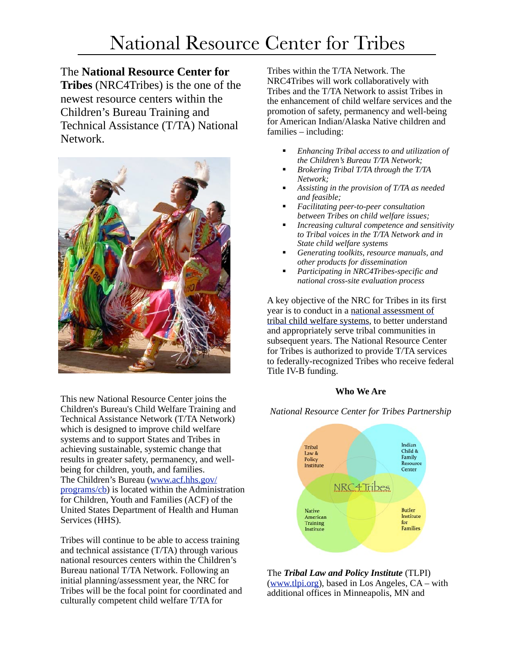#### The **National Resource Center for**

**Tribes** (NRC4Tribes) is the one of the newest resource centers within the Children's Bureau Training and Technical Assistance (T/TA) National Network.



This new National Resource Center joins the Children's Bureau's Child Welfare Training and Technical Assistance Network (T/TA Network) which is designed to improve child welfare systems and to support States and Tribes in achieving sustainable, systemic change that results in greater safety, permanency, and wellbeing for children, youth, and families. The Children's Bureau ([www.acf.hhs.gov/](http://www.acf.hhs.gov/programs/cb) [programs/cb\)](http://www.acf.hhs.gov/programs/cb) is located within the Administration for Children, Youth and Families (ACF) of the United States Department of Health and Human Services (HHS).

Tribes will continue to be able to access training and technical assistance (T/TA) through various national resources centers within the Children's Bureau national T/TA Network. Following an initial planning/assessment year, the NRC for Tribes will be the focal point for coordinated and culturally competent child welfare T/TA for

Tribes within the T/TA Network. The NRC4Tribes will work collaboratively with Tribes and the T/TA Network to assist Tribes in the enhancement of child welfare services and the promotion of safety, permanency and well-being for American Indian/Alaska Native children and families – including:

- ! *Enhancing Tribal access to and utilization of the Children's Bureau T/TA Network;*
- ! *Brokering Tribal T/TA through the T/TA Network;*
- ! *Assisting in the provision of T/TA as needed and feasible;*
- ! *Facilitating peer-to-peer consultation between Tribes on child welfare issues;*
- ! *Increasing cultural competence and sensitivity to Tribal voices in the T/TA Network and in State child welfare systems*
- ! *Generating toolkits, resource manuals, and other products for dissemination*
- ! *Participating in NRC4Tribes-specific and national cross-site evaluation process*

A key objective of the NRC for Tribes in its first year is to conduct in a national assessment of tribal child welfare systems, to better understand and appropriately serve tribal communities in subsequent years. The National Resource Center for Tribes is authorized to provide T/TA services to federally-recognized Tribes who receive federal Title IV-B funding.

#### **Who We Are**

*National Resource Center for Tribes Partnership*



The *Tribal Law and Policy Institute* (TLPI) [\(www.tlpi.org](http://www.tlpi.org)), based in Los Angeles, CA – with additional offices in Minneapolis, MN and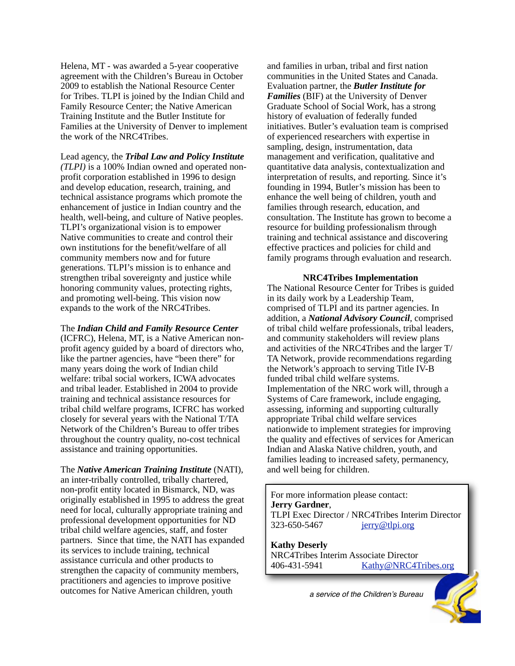Helena, MT - was awarded a 5-year cooperative agreement with the Children's Bureau in October 2009 to establish the National Resource Center for Tribes. TLPI is joined by the Indian Child and Family Resource Center; the Native American Training Institute and the Butler Institute for Families at the University of Denver to implement the work of the NRC4Tribes.

Lead agency, the *Tribal Law and Policy Institute (TLPI)* is a 100% Indian owned and operated nonprofit corporation established in 1996 to design and develop education, research, training, and technical assistance programs which promote the enhancement of justice in Indian country and the health, well-being, and culture of Native peoples. TLPI's organizational vision is to empower Native communities to create and control their own institutions for the benefit/welfare of all community members now and for future generations. TLPI's mission is to enhance and strengthen tribal sovereignty and justice while honoring community values, protecting rights, and promoting well-being. This vision now expands to the work of the NRC4Tribes.

The *Indian Child and Family Resource Center* (ICFRC), Helena, MT, is a Native American nonprofit agency guided by a board of directors who, like the partner agencies, have "been there" for many years doing the work of Indian child welfare: tribal social workers, ICWA advocates and tribal leader. Established in 2004 to provide training and technical assistance resources for tribal child welfare programs, ICFRC has worked closely for several years with the National T/TA Network of the Children's Bureau to offer tribes throughout the country quality, no-cost technical assistance and training opportunities.

The *Native American Training Institute* (NATI), an inter-tribally controlled, tribally chartered, non-profit entity located in Bismarck, ND, was originally established in 1995 to address the great need for local, culturally appropriate training and professional development opportunities for ND tribal child welfare agencies, staff, and foster partners. Since that time, the NATI has expanded its services to include training, technical assistance curricula and other products to strengthen the capacity of community members, practitioners and agencies to improve positive outcomes for Native American children, youth

and families in urban, tribal and first nation communities in the United States and Canada. Evaluation partner, the *Butler Institute for Families* (BIF) at the University of Denver Graduate School of Social Work, has a strong history of evaluation of federally funded initiatives. Butler's evaluation team is comprised of experienced researchers with expertise in sampling, design, instrumentation, data management and verification, qualitative and quantitative data analysis, contextualization and interpretation of results, and reporting. Since it's founding in 1994, Butler's mission has been to enhance the well being of children, youth and families through research, education, and consultation. The Institute has grown to become a resource for building professionalism through training and technical assistance and discovering effective practices and policies for child and family programs through evaluation and research.

#### **NRC4Tribes Implementation**

The National Resource Center for Tribes is guided in its daily work by a Leadership Team, comprised of TLPI and its partner agencies. In addition, a *National Advisory Council*, comprised of tribal child welfare professionals, tribal leaders, and community stakeholders will review plans and activities of the NRC4Tribes and the larger T/ TA Network, provide recommendations regarding the Network's approach to serving Title IV-B funded tribal child welfare systems. Implementation of the NRC work will, through a Systems of Care framework, include engaging, assessing, informing and supporting culturally appropriate Tribal child welfare services nationwide to implement strategies for improving the quality and effectives of services for American Indian and Alaska Native children, youth, and families leading to increased safety, permanency, and well being for children.

For more information please contact: **Jerry Gardner**, TLPI Exec Director / NRC4Tribes Interim Director 323-650-5467 [jerry@tlpi.org](mailto:jerry@tlpi.org)

**Kathy Deserly** NRC4Tribes Interim Associate Director<br>406-431-5941 Kathy@NRC4T [Kathy@NRC4Tribes.org](mailto:Kathy@NRC4Tribes.org)

*a service of the Children*!*s Bureau*

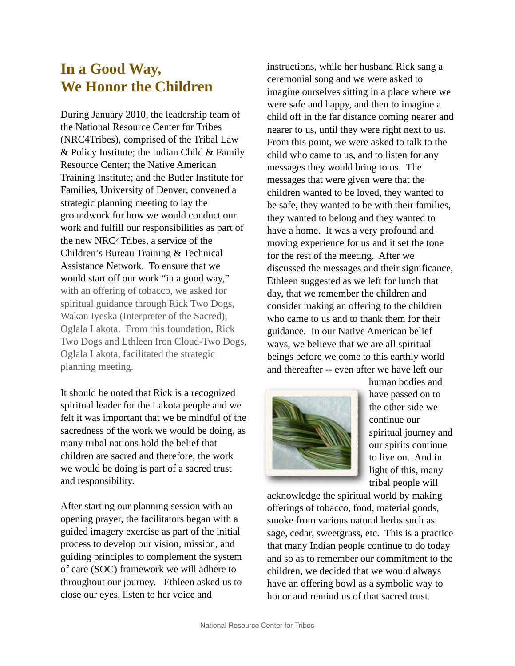# **In a Good Way, We Honor the Children**

During January 2010, the leadership team of the National Resource Center for Tribes (NRC4Tribes), comprised of the Tribal Law & Policy Institute; the Indian Child & Family Resource Center; the Native American Training Institute; and the Butler Institute for Families, University of Denver, convened a strategic planning meeting to lay the groundwork for how we would conduct our work and fulfill our responsibilities as part of the new NRC4Tribes, a service of the Children's Bureau Training & Technical Assistance Network. To ensure that we would start off our work "in a good way," with an offering of tobacco, we asked for spiritual guidance through Rick Two Dogs, Wakan Iyeska (Interpreter of the Sacred), Oglala Lakota. From this foundation, Rick Two Dogs and Ethleen Iron Cloud-Two Dogs, Oglala Lakota, facilitated the strategic planning meeting.

It should be noted that Rick is a recognized spiritual leader for the Lakota people and we felt it was important that we be mindful of the sacredness of the work we would be doing, as many tribal nations hold the belief that children are sacred and therefore, the work we would be doing is part of a sacred trust and responsibility.

After starting our planning session with an opening prayer, the facilitators began with a guided imagery exercise as part of the initial process to develop our vision, mission, and guiding principles to complement the system of care (SOC) framework we will adhere to throughout our journey. Ethleen asked us to close our eyes, listen to her voice and

instructions, while her husband Rick sang a ceremonial song and we were asked to imagine ourselves sitting in a place where we were safe and happy, and then to imagine a child off in the far distance coming nearer and nearer to us, until they were right next to us. From this point, we were asked to talk to the child who came to us, and to listen for any messages they would bring to us. The messages that were given were that the children wanted to be loved, they wanted to be safe, they wanted to be with their families, they wanted to belong and they wanted to have a home. It was a very profound and moving experience for us and it set the tone for the rest of the meeting. After we discussed the messages and their significance, Ethleen suggested as we left for lunch that day, that we remember the children and consider making an offering to the children who came to us and to thank them for their guidance. In our Native American belief ways, we believe that we are all spiritual beings before we come to this earthly world and thereafter -- even after we have left our



human bodies and have passed on to the other side we continue our spiritual journey and our spirits continue to live on. And in light of this, many tribal people will

acknowledge the spiritual world by making offerings of tobacco, food, material goods, smoke from various natural herbs such as sage, cedar, sweetgrass, etc. This is a practice that many Indian people continue to do today and so as to remember our commitment to the children, we decided that we would always have an offering bowl as a symbolic way to honor and remind us of that sacred trust.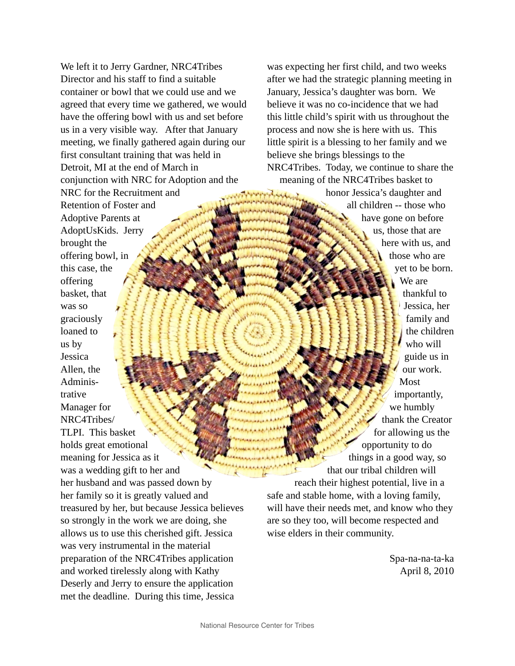We left it to Jerry Gardner, NRC4Tribes Director and his staff to find a suitable container or bowl that we could use and we agreed that every time we gathered, we would have the offering bowl with us and set before us in a very visible way. After that January meeting, we finally gathered again during our first consultant training that was held in Detroit, MI at the end of March in conjunction with NRC for Adoption and the NRC for the Recruitment and Retention of Foster and Adoptive Parents at AdoptUsKids. Jerry brought the offering bowl, in this case, the offering basket, that was so graciously loaned to us by Jessica Allen, the Administrative Manager for NRC4Tribes/ TLPI. This basket holds great emotional meaning for Jessica as it was a wedding gift to her and her husband and was passed down by her family so it is greatly valued and treasured by her, but because Jessica believes so strongly in the work we are doing, she allows us to use this cherished gift. Jessica was very instrumental in the material preparation of the NRC4Tribes application and worked tirelessly along with Kathy Deserly and Jerry to ensure the application met the deadline. During this time, Jessica

was expecting her first child, and two weeks after we had the strategic planning meeting in January, Jessica's daughter was born. We believe it was no co-incidence that we had this little child's spirit with us throughout the process and now she is here with us. This little spirit is a blessing to her family and we believe she brings blessings to the NRC4Tribes. Today, we continue to share the meaning of the NRC4Tribes basket to

honor Jessica's daughter and all children -- those who have gone on before us, those that are here with us, and those who are yet to be born. We are thankful to Jessica, her family and the children who will guide us in our work. Most importantly, we humbly thank the Creator for allowing us the opportunity to do things in a good way, so that our tribal children will reach their highest potential, live in a safe and stable home, with a loving family, will have their needs met, and know who they are so they too, will become respected and wise elders in their community.

> Spa-na-na-ta-ka April 8, 2010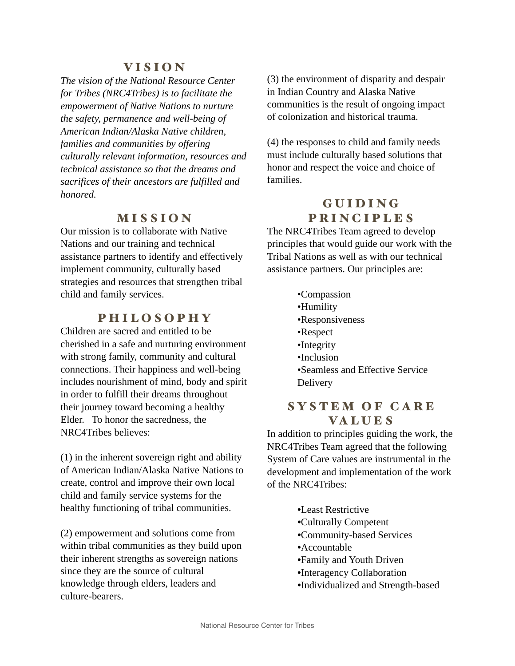### VISION

*The vision of the National Resource Center for Tribes (NRC4Tribes) is to facilitate the empowerment of Native Nations to nurture the safety, permanence and well-being of American Indian/Alaska Native children, families and communities by offering culturally relevant information, resources and technical assistance so that the dreams and sacrifices of their ancestors are fulfilled and honored.*

## MISSION

Our mission is to collaborate with Native Nations and our training and technical assistance partners to identify and effectively implement community, culturally based strategies and resources that strengthen tribal child and family services.

# PHILOSOPHY

Children are sacred and entitled to be cherished in a safe and nurturing environment with strong family, community and cultural connections. Their happiness and well-being includes nourishment of mind, body and spirit in order to fulfill their dreams throughout their journey toward becoming a healthy Elder. To honor the sacredness, the NRC4Tribes believes:

(1) in the inherent sovereign right and ability of American Indian/Alaska Native Nations to create, control and improve their own local child and family service systems for the healthy functioning of tribal communities.

(2) empowerment and solutions come from within tribal communities as they build upon their inherent strengths as sovereign nations since they are the source of cultural knowledge through elders, leaders and culture-bearers.

(3) the environment of disparity and despair in Indian Country and Alaska Native communities is the result of ongoing impact of colonization and historical trauma.

(4) the responses to child and family needs must include culturally based solutions that honor and respect the voice and choice of families.

# **GUIDING** PRINCIPLES

The NRC4Tribes Team agreed to develop principles that would guide our work with the Tribal Nations as well as with our technical assistance partners. Our principles are:

- •Compassion
- •Humility
- •Responsiveness
- •Respect
- •Integrity
- •Inclusion
- •Seamless and Effective Service **Delivery**

#### SYSTEM OF CARE VA L U E S

In addition to principles guiding the work, the NRC4Tribes Team agreed that the following System of Care values are instrumental in the development and implementation of the work of the NRC4Tribes:

- *•*Least Restrictive
- *•*Culturally Competent
- *•*Community-based Services
- *•*Accountable
- *•*Family and Youth Driven
- *•*Interagency Collaboration
- *•*Individualized and Strength-based